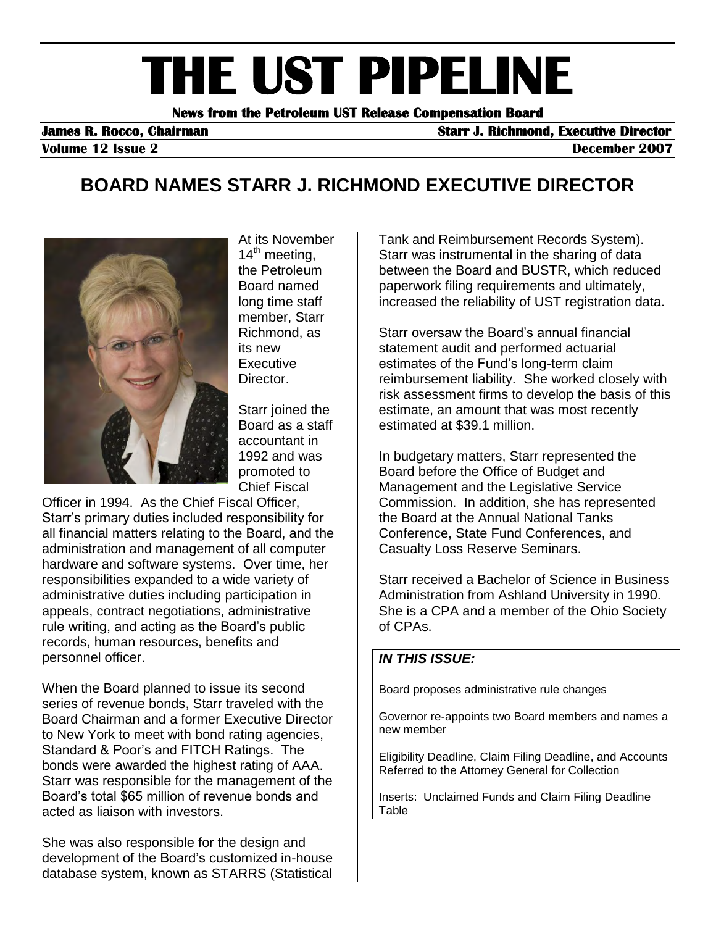# **THE UST PIPELINE**

**News from the Petroleum UST Release Compensation Board** 

**James R. Rocco, Chairman Starr J. Richmond, Executive Director in the Starr J. Richmond, Executive Director** 

**Volume 12 Issue 2** December 2007

# **BOARD NAMES STARR J. RICHMOND EXECUTIVE DIRECTOR**



At its November  $14<sup>th</sup>$  meeting, the Petroleum Board named long time staff member, Starr Richmond, as its new **Executive** Director.

Starr joined the Board as a staff accountant in 1992 and was promoted to Chief Fiscal

Officer in 1994. As the Chief Fiscal Officer, Starr's primary duties included responsibility for all financial matters relating to the Board, and the administration and management of all computer hardware and software systems. Over time, her responsibilities expanded to a wide variety of administrative duties including participation in appeals, contract negotiations, administrative rule writing, and acting as the Board's public records, human resources, benefits and personnel officer.

When the Board planned to issue its second series of revenue bonds, Starr traveled with the Board Chairman and a former Executive Director to New York to meet with bond rating agencies, Standard & Poor's and FITCH Ratings. The bonds were awarded the highest rating of AAA. Starr was responsible for the management of the Board's total \$65 million of revenue bonds and acted as liaison with investors.

She was also responsible for the design and development of the Board's customized in-house database system, known as STARRS (Statistical Tank and Reimbursement Records System). Starr was instrumental in the sharing of data between the Board and BUSTR, which reduced paperwork filing requirements and ultimately, increased the reliability of UST registration data.

Starr oversaw the Board's annual financial statement audit and performed actuarial estimates of the Fund's long-term claim reimbursement liability. She worked closely with risk assessment firms to develop the basis of this estimate, an amount that was most recently estimated at \$39.1 million.

In budgetary matters, Starr represented the Board before the Office of Budget and Management and the Legislative Service Commission. In addition, she has represented the Board at the Annual National Tanks Conference, State Fund Conferences, and Casualty Loss Reserve Seminars.

Starr received a Bachelor of Science in Business Administration from Ashland University in 1990. She is a CPA and a member of the Ohio Society of CPAs.

#### *IN THIS ISSUE:*

Board proposes administrative rule changes

Governor re-appoints two Board members and names a new member

Eligibility Deadline, Claim Filing Deadline, and Accounts Referred to the Attorney General for Collection

Inserts: Unclaimed Funds and Claim Filing Deadline **Table**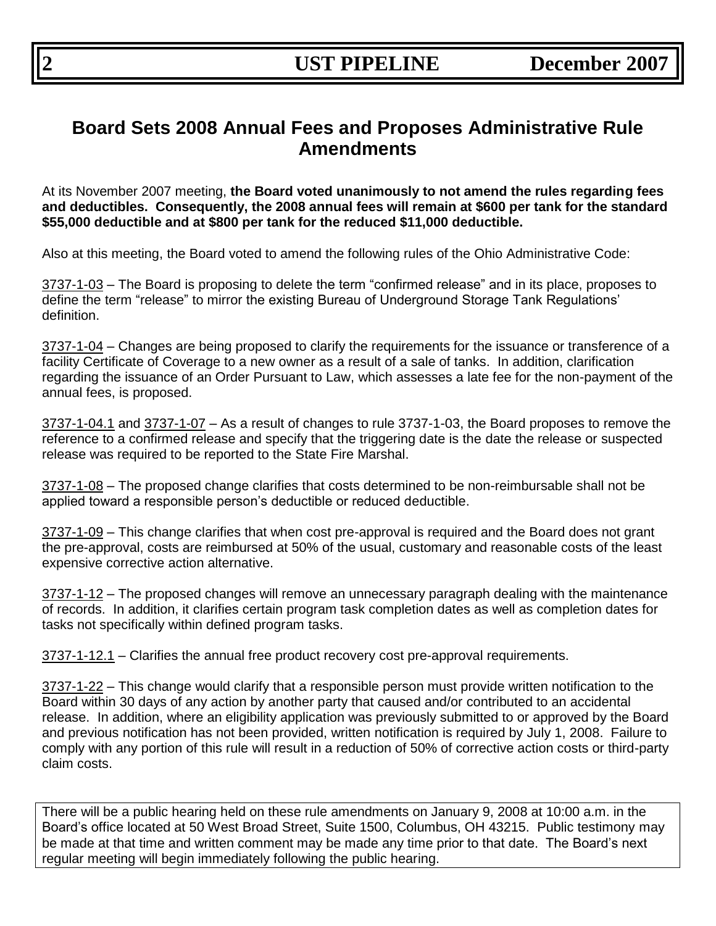# **Board Sets 2008 Annual Fees and Proposes Administrative Rule Amendments**

At its November 2007 meeting, **the Board voted unanimously to not amend the rules regarding fees and deductibles. Consequently, the 2008 annual fees will remain at \$600 per tank for the standard \$55,000 deductible and at \$800 per tank for the reduced \$11,000 deductible.**

Also at this meeting, the Board voted to amend the following rules of the Ohio Administrative Code:

3737-1-03 – The Board is proposing to delete the term "confirmed release" and in its place, proposes to define the term "release" to mirror the existing Bureau of Underground Storage Tank Regulations' definition.

3737-1-04 – Changes are being proposed to clarify the requirements for the issuance or transference of a facility Certificate of Coverage to a new owner as a result of a sale of tanks. In addition, clarification regarding the issuance of an Order Pursuant to Law, which assesses a late fee for the non-payment of the annual fees, is proposed.

3737-1-04.1 and 3737-1-07 – As a result of changes to rule 3737-1-03, the Board proposes to remove the reference to a confirmed release and specify that the triggering date is the date the release or suspected release was required to be reported to the State Fire Marshal.

3737-1-08 – The proposed change clarifies that costs determined to be non-reimbursable shall not be applied toward a responsible person's deductible or reduced deductible.

3737-1-09 – This change clarifies that when cost pre-approval is required and the Board does not grant the pre-approval, costs are reimbursed at 50% of the usual, customary and reasonable costs of the least expensive corrective action alternative.

3737-1-12 – The proposed changes will remove an unnecessary paragraph dealing with the maintenance of records. In addition, it clarifies certain program task completion dates as well as completion dates for tasks not specifically within defined program tasks.

3737-1-12.1 – Clarifies the annual free product recovery cost pre-approval requirements.

3737-1-22 – This change would clarify that a responsible person must provide written notification to the Board within 30 days of any action by another party that caused and/or contributed to an accidental release. In addition, where an eligibility application was previously submitted to or approved by the Board and previous notification has not been provided, written notification is required by July 1, 2008. Failure to comply with any portion of this rule will result in a reduction of 50% of corrective action costs or third-party claim costs.

There will be a public hearing held on these rule amendments on January 9, 2008 at 10:00 a.m. in the Board's office located at 50 West Broad Street, Suite 1500, Columbus, OH 43215. Public testimony may be made at that time and written comment may be made any time prior to that date. The Board's next regular meeting will begin immediately following the public hearing.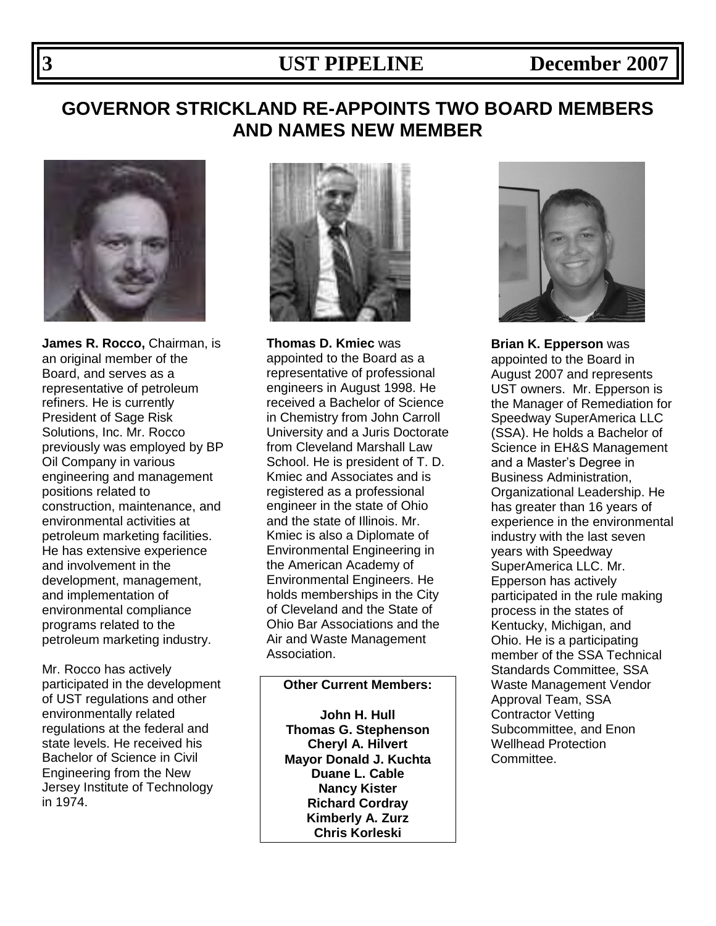# **3 UST PIPELINE December 2007**

# **GOVERNOR STRICKLAND RE-APPOINTS TWO BOARD MEMBERS AND NAMES NEW MEMBER**



**James R. Rocco,** Chairman, is an original member of the Board, and serves as a representative of petroleum refiners. He is currently President of Sage Risk Solutions, Inc. Mr. Rocco previously was employed by BP Oil Company in various engineering and management positions related to construction, maintenance, and environmental activities at petroleum marketing facilities. He has extensive experience and involvement in the development, management, and implementation of environmental compliance programs related to the petroleum marketing industry.

Mr. Rocco has actively participated in the development of UST regulations and other environmentally related regulations at the federal and state levels. He received his Bachelor of Science in Civil Engineering from the New Jersey Institute of Technology in 1974.



**Thomas D. Kmiec** was appointed to the Board as a representative of professional engineers in August 1998. He received a Bachelor of Science in Chemistry from John Carroll University and a Juris Doctorate from Cleveland Marshall Law School. He is president of T. D. Kmiec and Associates and is registered as a professional engineer in the state of Ohio and the state of Illinois. Mr. Kmiec is also a Diplomate of Environmental Engineering in the American Academy of Environmental Engineers. He holds memberships in the City of Cleveland and the State of Ohio Bar Associations and the Air and Waste Management Association.

### **Other Current Members:**

**John H. Hull Thomas G. Stephenson Cheryl A. Hilvert Mayor Donald J. Kuchta Duane L. Cable Nancy Kister Richard Cordray Kimberly A. Zurz Chris Korleski** 



**Brian K. Epperson** was appointed to the Board in August 2007 and represents UST owners. Mr. Epperson is the Manager of Remediation for Speedway SuperAmerica LLC (SSA). He holds a Bachelor of Science in EH&S Management and a Master's Degree in Business Administration, Organizational Leadership. He has greater than 16 years of experience in the environmental industry with the last seven years with Speedway SuperAmerica LLC. Mr. Epperson has actively participated in the rule making process in the states of Kentucky, Michigan, and Ohio. He is a participating member of the SSA Technical Standards Committee, SSA Waste Management Vendor Approval Team, SSA Contractor Vetting Subcommittee, and Enon Wellhead Protection Committee.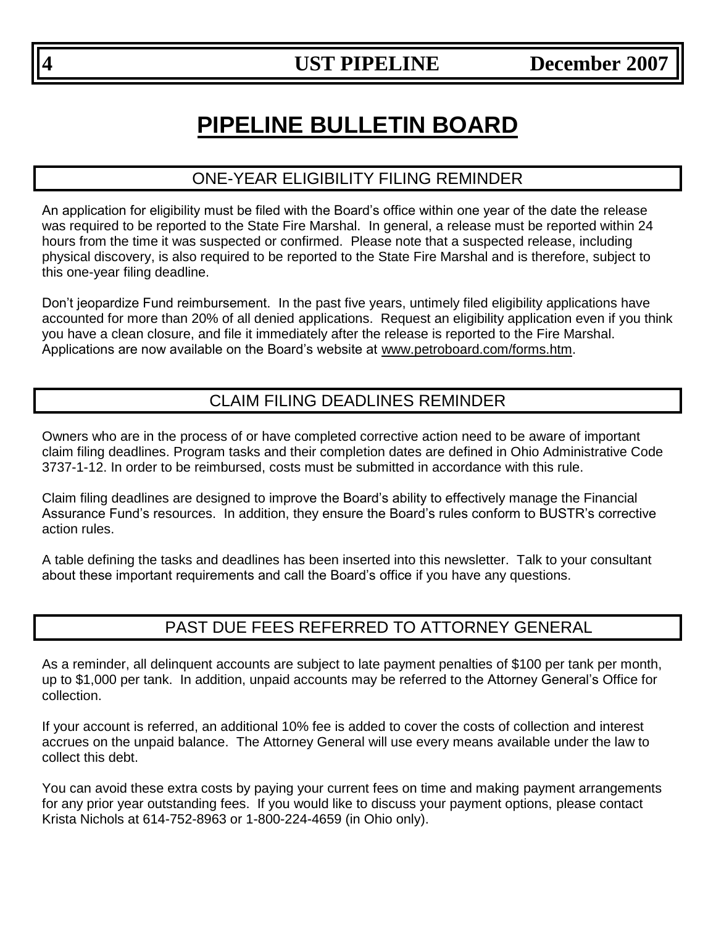# **PIPELINE BULLETIN BOARD**

# ONE-YEAR ELIGIBILITY FILING REMINDER

An application for eligibility must be filed with the Board's office within one year of the date the release was required to be reported to the State Fire Marshal. In general, a release must be reported within 24 hours from the time it was suspected or confirmed. Please note that a suspected release, including physical discovery, is also required to be reported to the State Fire Marshal and is therefore, subject to this one-year filing deadline.

Don't jeopardize Fund reimbursement. In the past five years, untimely filed eligibility applications have accounted for more than 20% of all denied applications. Request an eligibility application even if you think you have a clean closure, and file it immediately after the release is reported to the Fire Marshal. Applications are now available on the Board's website at [www.petroboard.com/forms.htm.](http://www.petroboard.com/forms.htm)

# CLAIM FILING DEADLINES REMINDER

Owners who are in the process of or have completed corrective action need to be aware of important claim filing deadlines. Program tasks and their completion dates are defined in Ohio Administrative Code 3737-1-12. In order to be reimbursed, costs must be submitted in accordance with this rule.

Claim filing deadlines are designed to improve the Board's ability to effectively manage the Financial Assurance Fund's resources. In addition, they ensure the Board's rules conform to BUSTR's corrective action rules.

A table defining the tasks and deadlines has been inserted into this newsletter. Talk to your consultant about these important requirements and call the Board's office if you have any questions.

# PAST DUE FEES REFERRED TO ATTORNEY GENERAL

As a reminder, all delinquent accounts are subject to late payment penalties of \$100 per tank per month, up to \$1,000 per tank. In addition, unpaid accounts may be referred to the Attorney General's Office for collection.

If your account is referred, an additional 10% fee is added to cover the costs of collection and interest accrues on the unpaid balance. The Attorney General will use every means available under the law to collect this debt.

You can avoid these extra costs by paying your current fees on time and making payment arrangements for any prior year outstanding fees. If you would like to discuss your payment options, please contact Krista Nichols at 614-752-8963 or 1-800-224-4659 (in Ohio only).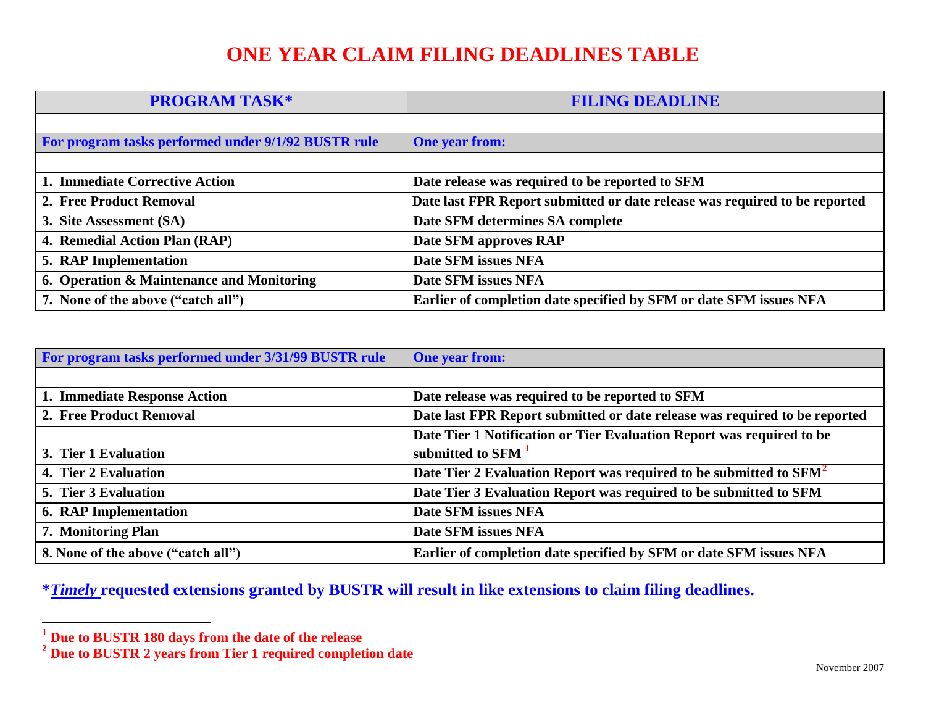# **ONE YEAR CLAIM FILING DEADLINES TABLE**

**PROGRAM TASK\* FILING DEADLINE** For program tasks performed under 9/1/92 BUSTR rule **One year from: 1. Immediate Corrective Action Date release was required to be reported to SFM 2. Free Product Removal Date last FPR Report submitted or date release was required to be reported 3. Site Assessment (SA) Date SFM determines SA complete 4. Remedial Action Plan (RAP) Date SFM approves RAP 5. RAP Implementation Date SFM issues NFA 6. Operation & Maintenance and Monitoring Date SFM issues NFA 7. None of the above ("catch all") Earlier of completion date specified by SFM or date SFM issues NFA**

| For program tasks performed under 3/31/99 BUSTR rule | <b>One year from:</b>                                                          |
|------------------------------------------------------|--------------------------------------------------------------------------------|
|                                                      |                                                                                |
| 1. Immediate Response Action                         | Date release was required to be reported to SFM                                |
| 2. Free Product Removal                              | Date last FPR Report submitted or date release was required to be reported     |
|                                                      | Date Tier 1 Notification or Tier Evaluation Report was required to be          |
| 3. Tier 1 Evaluation                                 | submitted to SFM <sup>1</sup>                                                  |
| 4. Tier 2 Evaluation                                 | Date Tier 2 Evaluation Report was required to be submitted to SFM <sup>2</sup> |
| 5. Tier 3 Evaluation                                 | Date Tier 3 Evaluation Report was required to be submitted to SFM              |
| <b>6. RAP Implementation</b>                         | Date SFM issues NFA                                                            |
| 7. Monitoring Plan                                   | Date SFM issues NFA                                                            |
| 8. None of the above ("catch all")                   | Earlier of completion date specified by SFM or date SFM issues NFA             |

**\****Timely* **requested extensions granted by BUSTR will result in like extensions to claim filing deadlines.**

 **1 Due to BUSTR 180 days from the date of the release** 

**<sup>2</sup> Due to BUSTR 2 years from Tier 1 required completion date**